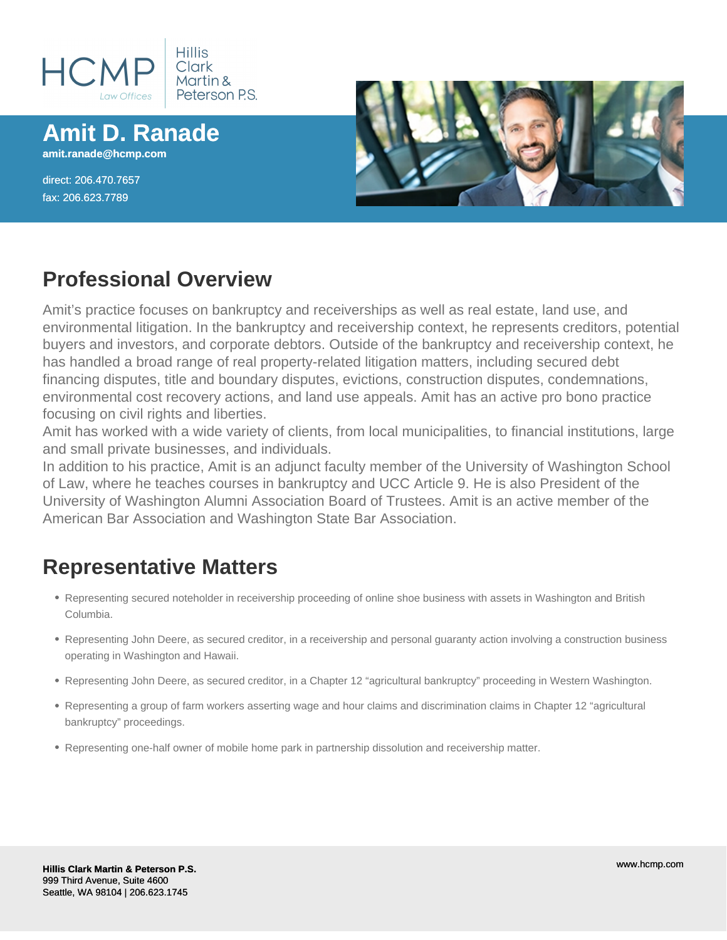

**Amit D. Ranade**

**amit.ranade@hcmp.com**

direct: 206.470.7657 fax: 206.623.7789



#### **Professional Overview**

Amit's practice focuses on bankruptcy and receiverships as well as real estate, land use, and environmental litigation. In the bankruptcy and receivership context, he represents creditors, potential buyers and investors, and corporate debtors. Outside of the bankruptcy and receivership context, he has handled a broad range of real property-related litigation matters, including secured debt financing disputes, title and boundary disputes, evictions, construction disputes, condemnations, environmental cost recovery actions, and land use appeals. Amit has an active pro bono practice focusing on civil rights and liberties.

Amit has worked with a wide variety of clients, from local municipalities, to financial institutions, large and small private businesses, and individuals.

In addition to his practice, Amit is an adjunct faculty member of the University of Washington School of Law, where he teaches courses in bankruptcy and UCC Article 9. He is also President of the University of Washington Alumni Association Board of Trustees. Amit is an active member of the American Bar Association and Washington State Bar Association.

# **Representative Matters**

- Representing secured noteholder in receivership proceeding of online shoe business with assets in Washington and British Columbia.
- Representing John Deere, as secured creditor, in a receivership and personal guaranty action involving a construction business operating in Washington and Hawaii.
- Representing John Deere, as secured creditor, in a Chapter 12 "agricultural bankruptcy" proceeding in Western Washington.
- Representing a group of farm workers asserting wage and hour claims and discrimination claims in Chapter 12 "agricultural bankruptcy" proceedings.
- Representing one-half owner of mobile home park in partnership dissolution and receivership matter.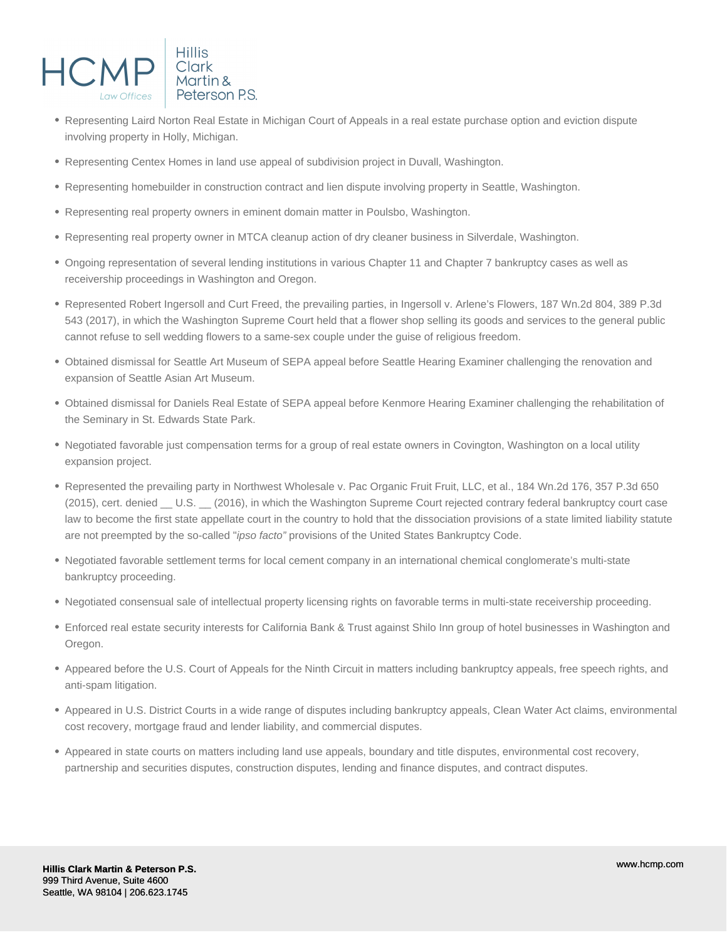

- Representing Laird Norton Real Estate in Michigan Court of Appeals in a real estate purchase option and eviction dispute involving property in Holly, Michigan.
- Representing Centex Homes in land use appeal of subdivision project in Duvall, Washington.
- Representing homebuilder in construction contract and lien dispute involving property in Seattle, Washington.
- Representing real property owners in eminent domain matter in Poulsbo, Washington.
- Representing real property owner in MTCA cleanup action of dry cleaner business in Silverdale, Washington.
- Ongoing representation of several lending institutions in various Chapter 11 and Chapter 7 bankruptcy cases as well as receivership proceedings in Washington and Oregon.
- Represented Robert Ingersoll and Curt Freed, the prevailing parties, in Ingersoll v. Arlene's Flowers, 187 Wn.2d 804, 389 P.3d 543 (2017), in which the Washington Supreme Court held that a flower shop selling its goods and services to the general public cannot refuse to sell wedding flowers to a same-sex couple under the guise of religious freedom.
- Obtained dismissal for Seattle Art Museum of SEPA appeal before Seattle Hearing Examiner challenging the renovation and expansion of Seattle Asian Art Museum.
- Obtained dismissal for Daniels Real Estate of SEPA appeal before Kenmore Hearing Examiner challenging the rehabilitation of the Seminary in St. Edwards State Park.
- Negotiated favorable just compensation terms for a group of real estate owners in Covington, Washington on a local utility expansion project.
- Represented the prevailing party in Northwest Wholesale v. Pac Organic Fruit Fruit, LLC, et al., 184 Wn.2d 176, 357 P.3d 650 (2015), cert. denied \_ U.S. \_ (2016), in which the Washington Supreme Court rejected contrary federal bankruptcy court case law to become the first state appellate court in the country to hold that the dissociation provisions of a state limited liability statute are not preempted by the so-called "ipso facto" provisions of the United States Bankruptcy Code.
- Negotiated favorable settlement terms for local cement company in an international chemical conglomerate's multi-state bankruptcy proceeding.
- Negotiated consensual sale of intellectual property licensing rights on favorable terms in multi-state receivership proceeding.
- Enforced real estate security interests for California Bank & Trust against Shilo Inn group of hotel businesses in Washington and Oregon.
- Appeared before the U.S. Court of Appeals for the Ninth Circuit in matters including bankruptcy appeals, free speech rights, and anti-spam litigation.
- Appeared in U.S. District Courts in a wide range of disputes including bankruptcy appeals, Clean Water Act claims, environmental cost recovery, mortgage fraud and lender liability, and commercial disputes.
- Appeared in state courts on matters including land use appeals, boundary and title disputes, environmental cost recovery, partnership and securities disputes, construction disputes, lending and finance disputes, and contract disputes.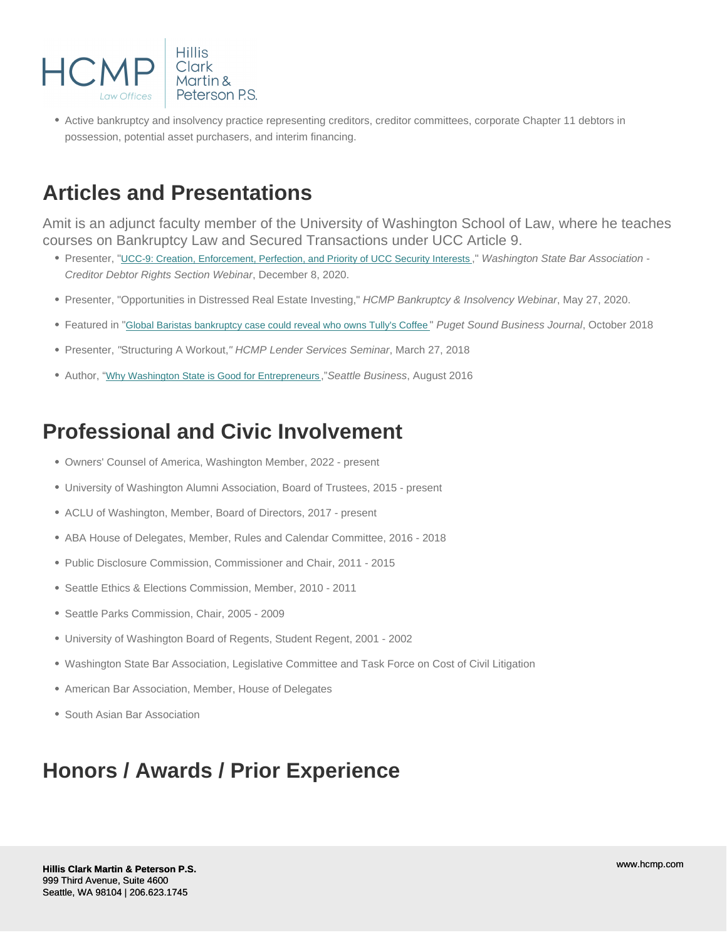Active bankruptcy and insolvency practice representing creditors, creditor committees, corporate Chapter 11 debtors in possession, potential asset purchasers, and interim financing.

## Articles and Presentations

Amit is an adjunct faculty member of the University of Washington School of Law, where he teaches courses on Bankruptcy Law and Secured Transactions under UCC Article 9.

- Presenter, "[UCC-9: Creation, Enforcement, Perfection, and Priority of UCC Security Interests](/uploads/pdf/reducedsizeadrclematerialsucc9creationenforcementperfectionandpriorityofuccinterests.pdf)," Washington State Bar Association -Creditor Debtor Rights Section Webinar, December 8, 2020.
- Presenter, "Opportunities in Distressed Real Estate Investing," HCMP Bankruptcy & Insolvency Webinar, May 27, 2020.
- Featured in "[Global Baristas bankruptcy case could reveal who owns Tully's Coffee](/uploads/pdf/global-baristas-bankruptcy-case-may-show-if-michael-avenatti-still-owns-tullys-coffee---puget-sound-business-journal.pdf) " Puget Sound Business Journal, October 2018
- Presenter, "Structuring A Workout," HCMP Lender Services Seminar, March 27, 2018
- Author, "[Why Washington State is Good for Entrepreneurs](/uploads/pdf/hcmp_seattlebiz_0616_r.pdf) ,"Seattle Business, August 2016

## Professional and Civic Involvement

- Owners' Counsel of America, Washington Member, 2022 present
- University of Washington Alumni Association, Board of Trustees, 2015 present
- ACLU of Washington, Member, Board of Directors, 2017 present
- ABA House of Delegates, Member, Rules and Calendar Committee, 2016 2018
- Public Disclosure Commission, Commissioner and Chair, 2011 2015
- Seattle Ethics & Elections Commission, Member, 2010 2011
- Seattle Parks Commission, Chair, 2005 2009
- University of Washington Board of Regents, Student Regent, 2001 2002
- Washington State Bar Association, Legislative Committee and Task Force on Cost of Civil Litigation
- American Bar Association, Member, House of Delegates
- South Asian Bar Association

## Honors / Awards / Prior Experience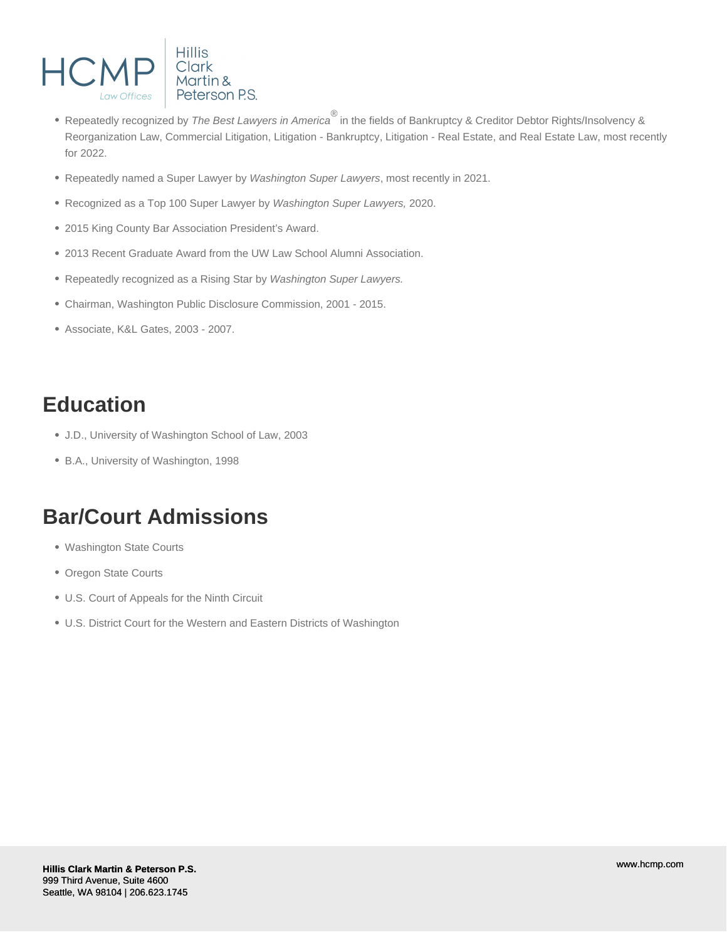

- Repeatedly recognized by *The Best Lawyers in America*<sup>®</sup> in the fields of Bankruptcy & Creditor Debtor Rights/Insolvency & Reorganization Law, Commercial Litigation, Litigation - Bankruptcy, Litigation - Real Estate, and Real Estate Law, most recently for 2022.
- Repeatedly named a Super Lawyer by Washington Super Lawyers, most recently in 2021.
- Recognized as a Top 100 Super Lawyer by Washington Super Lawyers, 2020.
- 2015 King County Bar Association President's Award.
- 2013 Recent Graduate Award from the UW Law School Alumni Association.
- Repeatedly recognized as a Rising Star by Washington Super Lawyers.
- Chairman, Washington Public Disclosure Commission, 2001 2015.
- Associate, K&L Gates, 2003 2007.

## **Education**

- J.D., University of Washington School of Law, 2003
- B.A., University of Washington, 1998

#### **Bar/Court Admissions**

- Washington State Courts
- Oregon State Courts
- U.S. Court of Appeals for the Ninth Circuit
- U.S. District Court for the Western and Eastern Districts of Washington